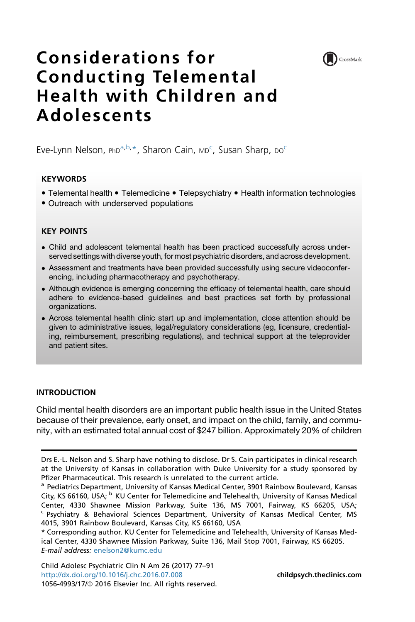

# Considerations for **Conducting Telemental** Health with Children and Adolescents

Eve-Lynn Nelson, PhD<sup>a,b,\*</sup>, Sharon Cain, MD<sup>c</sup>, Susan Sharp, DO<sup>c</sup>

## **KEYWORDS**

- Telemental health Telemedicine Telepsychiatry Health information technologies
- Outreach with underserved populations

## KEY POINTS

- Child and adolescent telemental health has been practiced successfully across underserved settings with diverse youth, for most psychiatric disorders, and across development.
- Assessment and treatments have been provided successfully using secure videoconferencing, including pharmacotherapy and psychotherapy.
- Although evidence is emerging concerning the efficacy of telemental health, care should adhere to evidence-based guidelines and best practices set forth by professional organizations.
- Across telemental health clinic start up and implementation, close attention should be given to administrative issues, legal/regulatory considerations (eg, licensure, credentialing, reimbursement, prescribing regulations), and technical support at the teleprovider and patient sites.

## INTRODUCTION

Child mental health disorders are an important public health issue in the United States because of their prevalence, early onset, and impact on the child, family, and community, with an estimated total annual cost of \$247 billion. Approximately 20% of children

Drs E.-L. Nelson and S. Sharp have nothing to disclose. Dr S. Cain participates in clinical research at the University of Kansas in collaboration with Duke University for a study sponsored by Pfizer Pharmaceutical. This research is unrelated to the current article.

<sup>&</sup>lt;sup>a</sup> Pediatrics Department, University of Kansas Medical Center, 3901 Rainbow Boulevard, Kansas City, KS 66160, USA; <sup>b</sup> KU Center for Telemedicine and Telehealth, University of Kansas Medical Center, 4330 Shawnee Mission Parkway, Suite 136, MS 7001, Fairway, KS 66205, USA; <sup>c</sup> Psychiatry & Behavioral Sciences Department, University of Kansas Medical Center, MS 4015, 3901 Rainbow Boulevard, Kansas City, KS 66160, USA

<sup>\*</sup> Corresponding author. KU Center for Telemedicine and Telehealth, University of Kansas Medical Center, 4330 Shawnee Mission Parkway, Suite 136, Mail Stop 7001, Fairway, KS 66205. E-mail address: [enelson2@kumc.edu](mailto:enelson2@kumc.edu)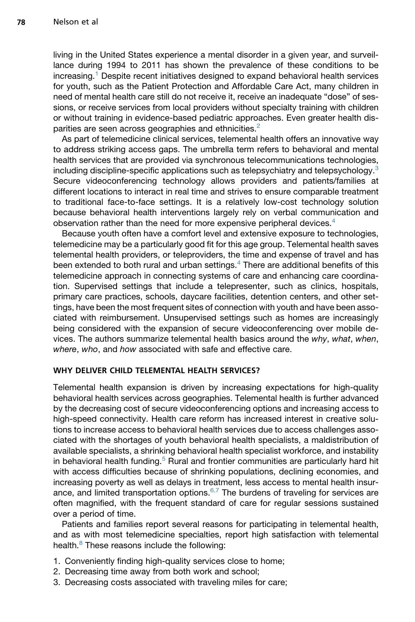living in the United States experience a mental disorder in a given year, and surveillance during 1994 to 2011 has shown the prevalence of these conditions to be increasing.[1](#page-11-0) Despite recent initiatives designed to expand behavioral health services for youth, such as the Patient Protection and Affordable Care Act, many children in need of mental health care still do not receive it, receive an inadequate "dose" of sessions, or receive services from local providers without specialty training with children or without training in evidence-based pediatric approaches. Even greater health dis-parities are seen across geographies and ethnicities.<sup>[2](#page-11-0)</sup>

As part of telemedicine clinical services, telemental health offers an innovative way to address striking access gaps. The umbrella term refers to behavioral and mental health services that are provided via synchronous telecommunications technologies, including discipline-specific applications such as telepsychiatry and telepsychology.<sup>[3](#page-11-0)</sup> Secure videoconferencing technology allows providers and patients/families at different locations to interact in real time and strives to ensure comparable treatment to traditional face-to-face settings. It is a relatively low-cost technology solution because behavioral health interventions largely rely on verbal communication and observation rather than the need for more expensive peripheral devices.<sup>[4](#page-11-0)</sup>

Because youth often have a comfort level and extensive exposure to technologies, telemedicine may be a particularly good fit for this age group. Telemental health saves telemental health providers, or teleproviders, the time and expense of travel and has been extended to both rural and urban settings.<sup>[4](#page-11-0)</sup> There are additional benefits of this telemedicine approach in connecting systems of care and enhancing care coordination. Supervised settings that include a telepresenter, such as clinics, hospitals, primary care practices, schools, daycare facilities, detention centers, and other settings, have been the most frequent sites of connection with youth and have been associated with reimbursement. Unsupervised settings such as homes are increasingly being considered with the expansion of secure videoconferencing over mobile devices. The authors summarize telemental health basics around the *why*, *what*, *when*, *where*, *who*, and *how* associated with safe and effective care.

#### WHY DELIVER CHILD TELEMENTAL HEALTH SERVICES?

Telemental health expansion is driven by increasing expectations for high-quality behavioral health services across geographies. Telemental health is further advanced by the decreasing cost of secure videoconferencing options and increasing access to high-speed connectivity. Health care reform has increased interest in creative solutions to increase access to behavioral health services due to access challenges associated with the shortages of youth behavioral health specialists, a maldistribution of available specialists, a shrinking behavioral health specialist workforce, and instability in behavioral health funding. $5$  Rural and frontier communities are particularly hard hit with access difficulties because of shrinking populations, declining economies, and increasing poverty as well as delays in treatment, less access to mental health insur-ance, and limited transportation options.<sup>[6,7](#page-11-0)</sup> The burdens of traveling for services are often magnified, with the frequent standard of care for regular sessions sustained over a period of time.

Patients and families report several reasons for participating in telemental health, and as with most telemedicine specialties, report high satisfaction with telemental health. $8$  These reasons include the following:

- 1. Conveniently finding high-quality services close to home;
- 2. Decreasing time away from both work and school;
- 3. Decreasing costs associated with traveling miles for care;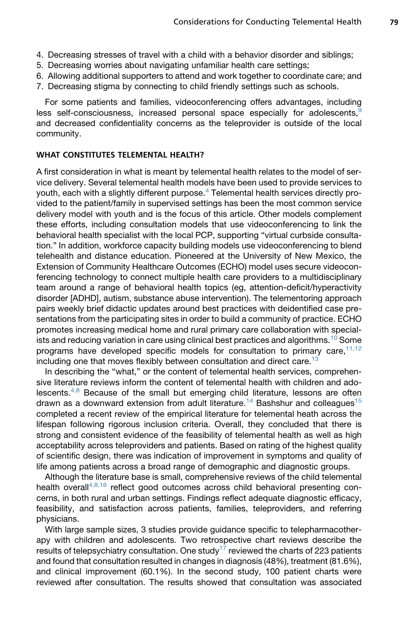- 4. Decreasing stresses of travel with a child with a behavior disorder and siblings;
- 5. Decreasing worries about navigating unfamiliar health care settings;
- 6. Allowing additional supporters to attend and work together to coordinate care; and 7. Decreasing stigma by connecting to child friendly settings such as schools.

For some patients and families, videoconferencing offers advantages, including less self-consciousness, increased personal space especially for adolescents,<sup>[9](#page-12-0)</sup> and decreased confidentiality concerns as the teleprovider is outside of the local community.

#### WHAT CONSTITUTES TELEMENTAL HEALTH?

A first consideration in what is meant by telemental health relates to the model of service delivery. Several telemental health models have been used to provide services to youth, each with a slightly different purpose.<sup>[4](#page-11-0)</sup> Telemental health services directly provided to the patient/family in supervised settings has been the most common service delivery model with youth and is the focus of this article. Other models complement these efforts, including consultation models that use videoconferencing to link the behavioral health specialist with the local PCP, supporting "virtual curbside consultation." In addition, workforce capacity building models use videoconferencing to blend telehealth and distance education. Pioneered at the University of New Mexico, the Extension of Community Healthcare Outcomes (ECHO) model uses secure videoconferencing technology to connect multiple health care providers to a multidisciplinary team around a range of behavioral health topics (eg, attention-deficit/hyperactivity disorder [ADHD], autism, substance abuse intervention). The telementoring approach pairs weekly brief didactic updates around best practices with deidentified case presentations from the participating sites in order to build a community of practice. ECHO promotes increasing medical home and rural primary care collaboration with special-ists and reducing variation in care using clinical best practices and algorithms.<sup>[10](#page-12-0)</sup> Some programs have developed specific models for consultation to primary care.<sup>[11,12](#page-12-0)</sup> including one that moves flexibly between consultation and direct care.<sup>[13](#page-12-0)</sup>

In describing the "what," or the content of telemental health services, comprehensive literature reviews inform the content of telemental health with children and ado-lescents.<sup>[4,8](#page-11-0)</sup> Because of the small but emerging child literature, lessons are often drawn as a downward extension from adult literature.<sup>[14](#page-12-0)</sup> Bashshur and colleagues<sup>[15](#page-12-0)</sup> completed a recent review of the empirical literature for telemental heath across the lifespan following rigorous inclusion criteria. Overall, they concluded that there is strong and consistent evidence of the feasibility of telemental health as well as high acceptability across teleproviders and patients. Based on rating of the highest quality of scientific design, there was indication of improvement in symptoms and quality of life among patients across a broad range of demographic and diagnostic groups.

Although the literature base is small, comprehensive reviews of the child telemental health overall<sup>[4,8,16](#page-11-0)</sup> reflect good outcomes across child behavioral presenting concerns, in both rural and urban settings. Findings reflect adequate diagnostic efficacy, feasibility, and satisfaction across patients, families, teleproviders, and referring physicians.

With large sample sizes, 3 studies provide guidance specific to telepharmacotherapy with children and adolescents. Two retrospective chart reviews describe the results of telepsychiatry consultation. One study<sup>[17](#page-12-0)</sup> reviewed the charts of 223 patients and found that consultation resulted in changes in diagnosis (48%), treatment (81.6%), and clinical improvement (60.1%). In the second study, 100 patient charts were reviewed after consultation. The results showed that consultation was associated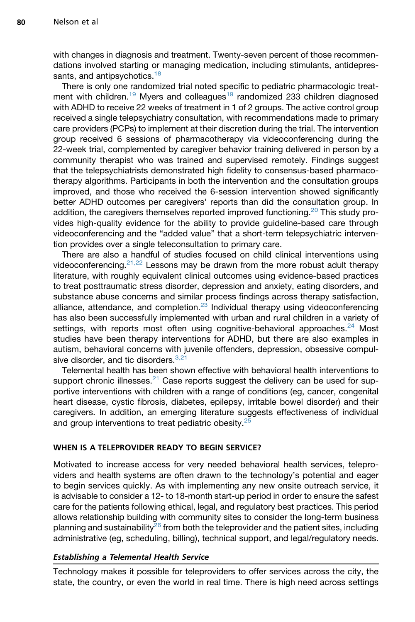with changes in diagnosis and treatment. Twenty-seven percent of those recommendations involved starting or managing medication, including stimulants, antidepres-sants, and antipsychotics.<sup>[18](#page-12-0)</sup>

There is only one randomized trial noted specific to pediatric pharmacologic treat-ment with children.<sup>[19](#page-12-0)</sup> Myers and colleagues<sup>19</sup> randomized 233 children diagnosed with ADHD to receive 22 weeks of treatment in 1 of 2 groups. The active control group received a single telepsychiatry consultation, with recommendations made to primary care providers (PCPs) to implement at their discretion during the trial. The intervention group received 6 sessions of pharmacotherapy via videoconferencing during the 22-week trial, complemented by caregiver behavior training delivered in person by a community therapist who was trained and supervised remotely. Findings suggest that the telepsychiatrists demonstrated high fidelity to consensus-based pharmacotherapy algorithms. Participants in both the intervention and the consultation groups improved, and those who received the 6-session intervention showed significantly better ADHD outcomes per caregivers' reports than did the consultation group. In addition, the caregivers themselves reported improved functioning.<sup>[20](#page-12-0)</sup> This study provides high-quality evidence for the ability to provide guideline-based care through videoconferencing and the "added value" that a short-term telepsychiatric intervention provides over a single teleconsultation to primary care.

There are also a handful of studies focused on child clinical interventions using videoconferencing. $21,22$  Lessons may be drawn from the more robust adult therapy literature, with roughly equivalent clinical outcomes using evidence-based practices to treat posttraumatic stress disorder, depression and anxiety, eating disorders, and substance abuse concerns and similar process findings across therapy satisfaction, alliance, attendance, and completion. $23$  Individual therapy using videoconferencing has also been successfully implemented with urban and rural children in a variety of settings, with reports most often using cognitive-behavioral approaches.<sup>[24](#page-12-0)</sup> Most studies have been therapy interventions for ADHD, but there are also examples in autism, behavioral concerns with juvenile offenders, depression, obsessive compul-sive disorder, and tic disorders.<sup>[3,21](#page-11-0)</sup>

Telemental health has been shown effective with behavioral health interventions to support chronic illnesses.<sup>[21](#page-12-0)</sup> Case reports suggest the delivery can be used for supportive interventions with children with a range of conditions (eg, cancer, congenital heart disease, cystic fibrosis, diabetes, epilepsy, irritable bowel disorder) and their caregivers. In addition, an emerging literature suggests effectiveness of individual and group interventions to treat pediatric obesity.<sup>[25](#page-12-0)</sup>

#### WHEN IS A TELEPROVIDER READY TO BEGIN SERVICE?

Motivated to increase access for very needed behavioral health services, teleproviders and health systems are often drawn to the technology's potential and eager to begin services quickly. As with implementing any new onsite outreach service, it is advisable to consider a 12- to 18-month start-up period in order to ensure the safest care for the patients following ethical, legal, and regulatory best practices. This period allows relationship building with community sites to consider the long-term business planning and sustainability<sup>[26](#page-12-0)</sup> from both the teleprovider and the patient sites, including administrative (eg, scheduling, billing), technical support, and legal/regulatory needs.

#### Establishing a Telemental Health Service

Technology makes it possible for teleproviders to offer services across the city, the state, the country, or even the world in real time. There is high need across settings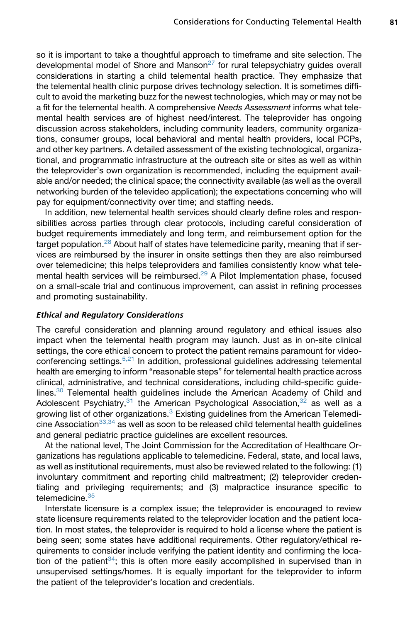so it is important to take a thoughtful approach to timeframe and site selection. The developmental model of Shore and Manson $^{27}$  for rural telepsychiatry guides overall considerations in starting a child telemental health practice. They emphasize that the telemental health clinic purpose drives technology selection. It is sometimes difficult to avoid the marketing buzz for the newest technologies, which may or may not be a fit for the telemental health. A comprehensive *Needs Assessment* informs what telemental health services are of highest need/interest. The teleprovider has ongoing discussion across stakeholders, including community leaders, community organizations, consumer groups, local behavioral and mental health providers, local PCPs, and other key partners. A detailed assessment of the existing technological, organizational, and programmatic infrastructure at the outreach site or sites as well as within the teleprovider's own organization is recommended, including the equipment available and/or needed; the clinical space; the connectivity available (as well as the overall networking burden of the televideo application); the expectations concerning who will pay for equipment/connectivity over time; and staffing needs.

In addition, new telemental health services should clearly define roles and responsibilities across parties through clear protocols, including careful consideration of budget requirements immediately and long term, and reimbursement option for the target population.<sup>[28](#page-13-0)</sup> About half of states have telemedicine parity, meaning that if services are reimbursed by the insurer in onsite settings then they are also reimbursed over telemedicine; this helps teleproviders and families consistently know what tele-mental health services will be reimbursed.<sup>[29](#page-13-0)</sup> A Pilot Implementation phase, focused on a small-scale trial and continuous improvement, can assist in refining processes and promoting sustainability.

## Ethical and Regulatory Considerations

The careful consideration and planning around regulatory and ethical issues also impact when the telemental health program may launch. Just as in on-site clinical settings, the core ethical concern to protect the patient remains paramount for videoconferencing settings.[5,21](#page-11-0) In addition, professional guidelines addressing telemental health are emerging to inform "reasonable steps" for telemental health practice across clinical, administrative, and technical considerations, including child-specific guide-lines.<sup>[30](#page-13-0)</sup> Telemental health guidelines include the American Academy of Child and Adolescent Psychiatry,<sup>[31](#page-13-0)</sup> the American Psychological Association,<sup>[32](#page-13-0)</sup> as well as a growing list of other organizations.<sup>[3](#page-11-0)</sup> Existing guidelines from the American Telemedi-cine Association<sup>[33,34](#page-13-0)</sup> as well as soon to be released child telemental health quidelines and general pediatric practice guidelines are excellent resources.

At the national level, The Joint Commission for the Accreditation of Healthcare Organizations has regulations applicable to telemedicine. Federal, state, and local laws, as well as institutional requirements, must also be reviewed related to the following: (1) involuntary commitment and reporting child maltreatment; (2) teleprovider credentialing and privileging requirements; and (3) malpractice insurance specific to telemedicine.<sup>[35](#page-13-0)</sup>

Interstate licensure is a complex issue; the teleprovider is encouraged to review state licensure requirements related to the teleprovider location and the patient location. In most states, the teleprovider is required to hold a license where the patient is being seen; some states have additional requirements. Other regulatory/ethical requirements to consider include verifying the patient identity and confirming the location of the patient<sup>34</sup>; this is often more easily accomplished in supervised than in unsupervised settings/homes. It is equally important for the teleprovider to inform the patient of the teleprovider's location and credentials.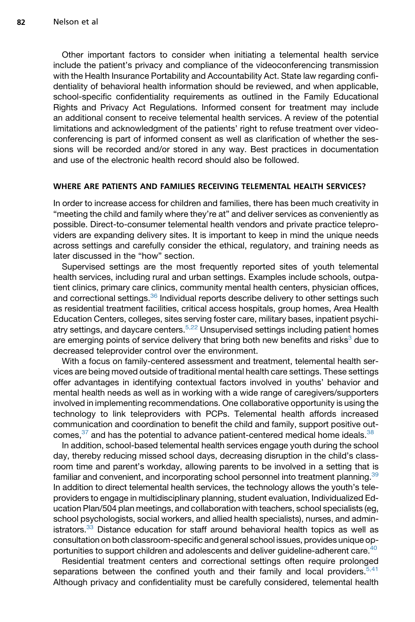Other important factors to consider when initiating a telemental health service include the patient's privacy and compliance of the videoconferencing transmission with the Health Insurance Portability and Accountability Act. State law regarding confidentiality of behavioral health information should be reviewed, and when applicable, school-specific confidentiality requirements as outlined in the Family Educational Rights and Privacy Act Regulations. Informed consent for treatment may include an additional consent to receive telemental health services. A review of the potential limitations and acknowledgment of the patients' right to refuse treatment over videoconferencing is part of informed consent as well as clarification of whether the sessions will be recorded and/or stored in any way. Best practices in documentation and use of the electronic health record should also be followed.

#### WHERE ARE PATIENTS AND FAMILIES RECEIVING TELEMENTAL HEALTH SERVICES?

In order to increase access for children and families, there has been much creativity in "meeting the child and family where they're at" and deliver services as conveniently as possible. Direct-to-consumer telemental health vendors and private practice teleproviders are expanding delivery sites. It is important to keep in mind the unique needs across settings and carefully consider the ethical, regulatory, and training needs as later discussed in the "how" section.

Supervised settings are the most frequently reported sites of youth telemental health services, including rural and urban settings. Examples include schools, outpatient clinics, primary care clinics, community mental health centers, physician offices, and correctional settings.<sup>[36](#page-13-0)</sup> Individual reports describe delivery to other settings such as residential treatment facilities, critical access hospitals, group homes, Area Health Education Centers, colleges, sites serving foster care, military bases, inpatient psychi-atry settings, and daycare centers.<sup>[5,22](#page-11-0)</sup> Unsupervised settings including patient homes are emerging points of service delivery that bring both new benefits and risks<sup>[3](#page-11-0)</sup> due to decreased teleprovider control over the environment.

With a focus on family-centered assessment and treatment, telemental health services are being moved outside of traditional mental health care settings. These settings offer advantages in identifying contextual factors involved in youths' behavior and mental health needs as well as in working with a wide range of caregivers/supporters involved in implementing recommendations. One collaborative opportunity is using the technology to link teleproviders with PCPs. Telemental health affords increased communication and coordination to benefit the child and family, support positive outcomes, $37$  and has the potential to advance patient-centered medical home ideals.  $38$ 

In addition, school-based telemental health services engage youth during the school day, thereby reducing missed school days, decreasing disruption in the child's classroom time and parent's workday, allowing parents to be involved in a setting that is familiar and convenient, and incorporating school personnel into treatment planning.<sup>[39](#page-13-0)</sup> In addition to direct telemental health services, the technology allows the youth's teleproviders to engage in multidisciplinary planning, student evaluation, Individualized Education Plan/504 plan meetings, and collaboration with teachers, school specialists (eg, school psychologists, social workers, and allied health specialists), nurses, and administrators.<sup>33</sup> Distance education for staff around behavioral health topics as well as consultation on both classroom-specific and general school issues, provides unique opportunities to support children and adolescents and deliver guideline-adherent care.<sup>40</sup>

Residential treatment centers and correctional settings often require prolonged separations between the confined youth and their family and local providers.<sup>[5,41](#page-11-0)</sup> Although privacy and confidentiality must be carefully considered, telemental health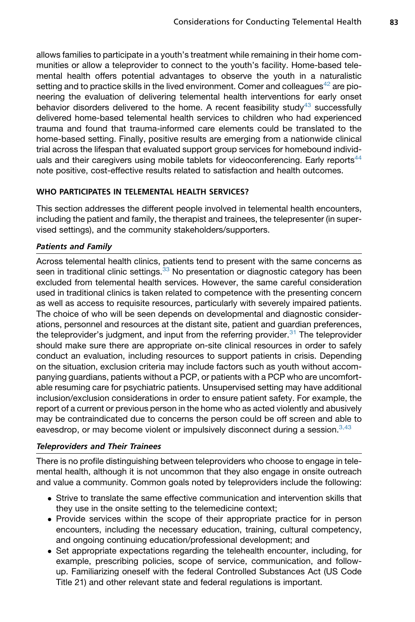allows families to participate in a youth's treatment while remaining in their home communities or allow a teleprovider to connect to the youth's facility. Home-based telemental health offers potential advantages to observe the youth in a naturalistic setting and to practice skills in the lived environment. Comer and colleagues $42$  are pioneering the evaluation of delivering telemental health interventions for early onset behavior disorders delivered to the home. A recent feasibility study<sup>[43](#page-13-0)</sup> successfully delivered home-based telemental health services to children who had experienced trauma and found that trauma-informed care elements could be translated to the home-based setting. Finally, positive results are emerging from a nationwide clinical trial across the lifespan that evaluated support group services for homebound individ-uals and their caregivers using mobile tablets for videoconferencing. Early reports<sup>[44](#page-13-0)</sup> note positive, cost-effective results related to satisfaction and health outcomes.

# WHO PARTICIPATES IN TELEMENTAL HEALTH SERVICES?

This section addresses the different people involved in telemental health encounters, including the patient and family, the therapist and trainees, the telepresenter (in supervised settings), and the community stakeholders/supporters.

# Patients and Family

Across telemental health clinics, patients tend to present with the same concerns as seen in traditional clinic settings.<sup>[33](#page-13-0)</sup> No presentation or diagnostic category has been excluded from telemental health services. However, the same careful consideration used in traditional clinics is taken related to competence with the presenting concern as well as access to requisite resources, particularly with severely impaired patients. The choice of who will be seen depends on developmental and diagnostic considerations, personnel and resources at the distant site, patient and guardian preferences, the teleprovider's judgment, and input from the referring provider.<sup>[31](#page-13-0)</sup> The teleprovider should make sure there are appropriate on-site clinical resources in order to safely conduct an evaluation, including resources to support patients in crisis. Depending on the situation, exclusion criteria may include factors such as youth without accompanying guardians, patients without a PCP, or patients with a PCP who are uncomfortable resuming care for psychiatric patients. Unsupervised setting may have additional inclusion/exclusion considerations in order to ensure patient safety. For example, the report of a current or previous person in the home who as acted violently and abusively may be contraindicated due to concerns the person could be off screen and able to eavesdrop, or may become violent or impulsively disconnect during a session.<sup>[3,43](#page-11-0)</sup>

# Teleproviders and Their Trainees

There is no profile distinguishing between teleproviders who choose to engage in telemental health, although it is not uncommon that they also engage in onsite outreach and value a community. Common goals noted by teleproviders include the following:

- Strive to translate the same effective communication and intervention skills that they use in the onsite setting to the telemedicine context;
- Provide services within the scope of their appropriate practice for in person encounters, including the necessary education, training, cultural competency, and ongoing continuing education/professional development; and
- Set appropriate expectations regarding the telehealth encounter, including, for example, prescribing policies, scope of service, communication, and followup. Familiarizing oneself with the federal Controlled Substances Act (US Code Title 21) and other relevant state and federal regulations is important.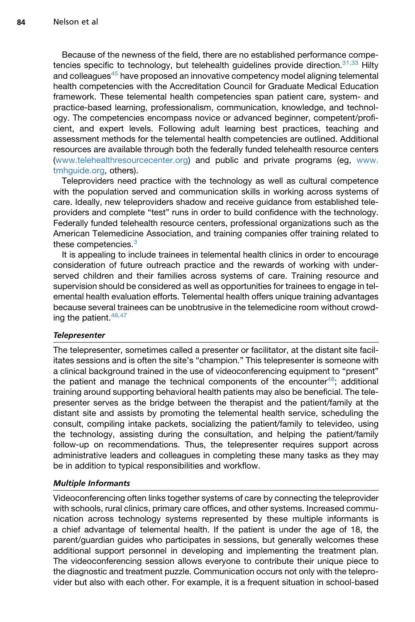Because of the newness of the field, there are no established performance competencies specific to technology, but telehealth guidelines provide direction.  $31,33$  Hilty and colleagues<sup>[45](#page-14-0)</sup> have proposed an innovative competency model aligning telemental health competencies with the Accreditation Council for Graduate Medical Education framework. These telemental health competencies span patient care, system- and practice-based learning, professionalism, communication, knowledge, and technology. The competencies encompass novice or advanced beginner, competent/proficient, and expert levels. Following adult learning best practices, teaching and assessment methods for the telemental health competencies are outlined. Additional resources are available through both the federally funded telehealth resource centers ([www.telehealthresourcecenter.org\)](http://www.telehealthresourcecenter.org) and public and private programs (eg, [www.](http://www.tmhguide.org) [tmhguide.org,](http://www.tmhguide.org) others).

Teleproviders need practice with the technology as well as cultural competence with the population served and communication skills in working across systems of care. Ideally, new teleproviders shadow and receive guidance from established teleproviders and complete "test" runs in order to build confidence with the technology. Federally funded telehealth resource centers, professional organizations such as the American Telemedicine Association, and training companies offer training related to these competencies.<sup>[3](#page-11-0)</sup>

It is appealing to include trainees in telemental health clinics in order to encourage consideration of future outreach practice and the rewards of working with underserved children and their families across systems of care. Training resource and supervision should be considered as well as opportunities for trainees to engage in telemental health evaluation efforts. Telemental health offers unique training advantages because several trainees can be unobtrusive in the telemedicine room without crowding the patient. $46,47$ 

## Telepresenter

The telepresenter, sometimes called a presenter or facilitator, at the distant site facilitates sessions and is often the site's "champion." This telepresenter is someone with a clinical background trained in the use of videoconferencing equipment to "present" the patient and manage the technical components of the encounter<sup>[48](#page-14-0)</sup>; additional training around supporting behavioral health patients may also be beneficial. The telepresenter serves as the bridge between the therapist and the patient/family at the distant site and assists by promoting the telemental health service, scheduling the consult, compiling intake packets, socializing the patient/family to televideo, using the technology, assisting during the consultation, and helping the patient/family follow-up on recommendations. Thus, the telepresenter requires support across administrative leaders and colleagues in completing these many tasks as they may be in addition to typical responsibilities and workflow.

## Multiple Informants

Videoconferencing often links together systems of care by connecting the teleprovider with schools, rural clinics, primary care offices, and other systems. Increased communication across technology systems represented by these multiple informants is a chief advantage of telemental health. If the patient is under the age of 18, the parent/guardian guides who participates in sessions, but generally welcomes these additional support personnel in developing and implementing the treatment plan. The videoconferencing session allows everyone to contribute their unique piece to the diagnostic and treatment puzzle. Communication occurs not only with the teleprovider but also with each other. For example, it is a frequent situation in school-based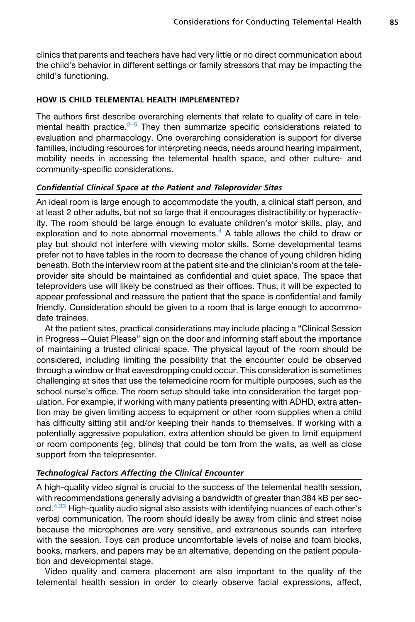clinics that parents and teachers have had very little or no direct communication about the child's behavior in different settings or family stressors that may be impacting the child's functioning.

## HOW IS CHILD TELEMENTAL HEALTH IMPLEMENTED?

The authors first describe overarching elements that relate to quality of care in telemental health practice. $3-5$  They then summarize specific considerations related to evaluation and pharmacology. One overarching consideration is support for diverse families, including resources for interpreting needs, needs around hearing impairment, mobility needs in accessing the telemental health space, and other culture- and community-specific considerations.

## Confidential Clinical Space at the Patient and Teleprovider Sites

An ideal room is large enough to accommodate the youth, a clinical staff person, and at least 2 other adults, but not so large that it encourages distractibility or hyperactivity. The room should be large enough to evaluate children's motor skills, play, and exploration and to note abnormal movements.<sup>[4](#page-11-0)</sup> A table allows the child to draw or play but should not interfere with viewing motor skills. Some developmental teams prefer not to have tables in the room to decrease the chance of young children hiding beneath. Both the interview room at the patient site and the clinician's room at the teleprovider site should be maintained as confidential and quiet space. The space that teleproviders use will likely be construed as their offices. Thus, it will be expected to appear professional and reassure the patient that the space is confidential and family friendly. Consideration should be given to a room that is large enough to accommodate trainees.

At the patient sites, practical considerations may include placing a "Clinical Session in Progress—Quiet Please" sign on the door and informing staff about the importance of maintaining a trusted clinical space. The physical layout of the room should be considered, including limiting the possibility that the encounter could be observed through a window or that eavesdropping could occur. This consideration is sometimes challenging at sites that use the telemedicine room for multiple purposes, such as the school nurse's office. The room setup should take into consideration the target population. For example, if working with many patients presenting with ADHD, extra attention may be given limiting access to equipment or other room supplies when a child has difficulty sitting still and/or keeping their hands to themselves. If working with a potentially aggressive population, extra attention should be given to limit equipment or room components (eg, blinds) that could be torn from the walls, as well as close support from the telepresenter.

## Technological Factors Affecting the Clinical Encounter

A high-quality video signal is crucial to the success of the telemental health session, with recommendations generally advising a bandwidth of greater than 384 kB per second.[4,33](#page-11-0) High-quality audio signal also assists with identifying nuances of each other's verbal communication. The room should ideally be away from clinic and street noise because the microphones are very sensitive, and extraneous sounds can interfere with the session. Toys can produce uncomfortable levels of noise and foam blocks, books, markers, and papers may be an alternative, depending on the patient population and developmental stage.

Video quality and camera placement are also important to the quality of the telemental health session in order to clearly observe facial expressions, affect,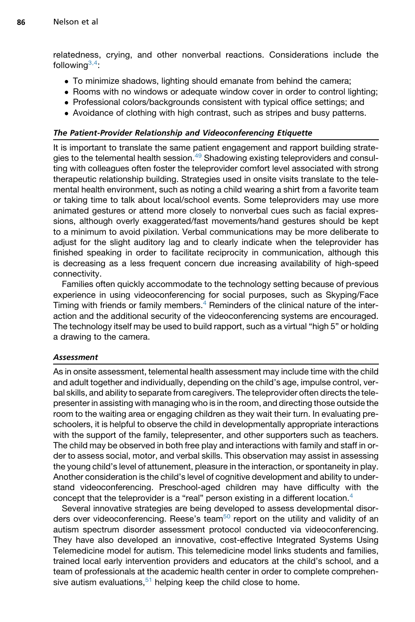relatedness, crying, and other nonverbal reactions. Considerations include the following $3,4$ :

- To minimize shadows, lighting should emanate from behind the camera;
- Rooms with no windows or adequate window cover in order to control lighting;
- Professional colors/backgrounds consistent with typical office settings; and
- Avoidance of clothing with high contrast, such as stripes and busy patterns.

## The Patient-Provider Relationship and Videoconferencing Etiquette

It is important to translate the same patient engagement and rapport building strate-gies to the telemental health session.<sup>[49](#page-14-0)</sup> Shadowing existing teleproviders and consulting with colleagues often foster the teleprovider comfort level associated with strong therapeutic relationship building. Strategies used in onsite visits translate to the telemental health environment, such as noting a child wearing a shirt from a favorite team or taking time to talk about local/school events. Some teleproviders may use more animated gestures or attend more closely to nonverbal cues such as facial expressions, although overly exaggerated/fast movements/hand gestures should be kept to a minimum to avoid pixilation. Verbal communications may be more deliberate to adjust for the slight auditory lag and to clearly indicate when the teleprovider has finished speaking in order to facilitate reciprocity in communication, although this is decreasing as a less frequent concern due increasing availability of high-speed connectivity.

Families often quickly accommodate to the technology setting because of previous experience in using videoconferencing for social purposes, such as Skyping/Face Timing with friends or family members. $4$  Reminders of the clinical nature of the interaction and the additional security of the videoconferencing systems are encouraged. The technology itself may be used to build rapport, such as a virtual "high 5" or holding a drawing to the camera.

## Assessment

As in onsite assessment, telemental health assessment may include time with the child and adult together and individually, depending on the child's age, impulse control, verbal skills, and ability to separate from caregivers. The teleprovider often directs the telepresenter in assisting with managing who is in the room, and directing those outside the room to the waiting area or engaging children as they wait their turn. In evaluating preschoolers, it is helpful to observe the child in developmentally appropriate interactions with the support of the family, telepresenter, and other supporters such as teachers. The child may be observed in both free play and interactions with family and staff in order to assess social, motor, and verbal skills. This observation may assist in assessing the young child's level of attunement, pleasure in the interaction, or spontaneity in play. Another consideration is the child's level of cognitive development and ability to understand videoconferencing. Preschool-aged children may have difficulty with the concept that the teleprovider is a "real" person existing in a different location.<sup>[4](#page-11-0)</sup>

Several innovative strategies are being developed to assess developmental disor-ders over videoconferencing. Reese's team<sup>[50](#page-14-0)</sup> report on the utility and validity of an autism spectrum disorder assessment protocol conducted via videoconferencing. They have also developed an innovative, cost-effective Integrated Systems Using Telemedicine model for autism. This telemedicine model links students and families, trained local early intervention providers and educators at the child's school, and a team of professionals at the academic health center in order to complete comprehensive autism evaluations,  $51$  helping keep the child close to home.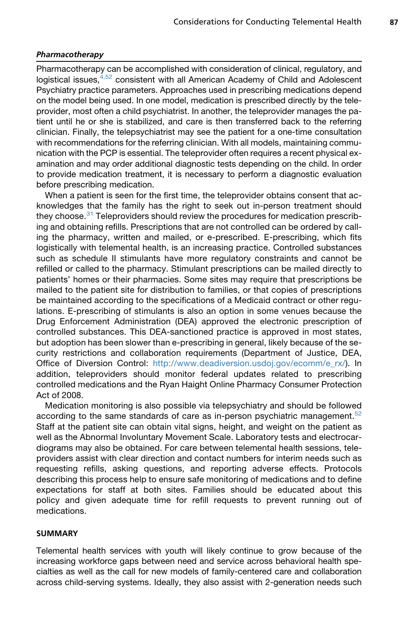#### Pharmacotherapy

Pharmacotherapy can be accomplished with consideration of clinical, regulatory, and logistical issues,<sup>[4,52](#page-11-0)</sup> consistent with all American Academy of Child and Adolescent Psychiatry practice parameters. Approaches used in prescribing medications depend on the model being used. In one model, medication is prescribed directly by the teleprovider, most often a child psychiatrist. In another, the teleprovider manages the patient until he or she is stabilized, and care is then transferred back to the referring clinician. Finally, the telepsychiatrist may see the patient for a one-time consultation with recommendations for the referring clinician. With all models, maintaining communication with the PCP is essential. The teleprovider often requires a recent physical examination and may order additional diagnostic tests depending on the child. In order to provide medication treatment, it is necessary to perform a diagnostic evaluation before prescribing medication.

When a patient is seen for the first time, the teleprovider obtains consent that acknowledges that the family has the right to seek out in-person treatment should they choose.<sup>[31](#page-13-0)</sup> Teleproviders should review the procedures for medication prescribing and obtaining refills. Prescriptions that are not controlled can be ordered by calling the pharmacy, written and mailed, or e-prescribed. E-prescribing, which fits logistically with telemental health, is an increasing practice. Controlled substances such as schedule II stimulants have more regulatory constraints and cannot be refilled or called to the pharmacy. Stimulant prescriptions can be mailed directly to patients' homes or their pharmacies. Some sites may require that prescriptions be mailed to the patient site for distribution to families, or that copies of prescriptions be maintained according to the specifications of a Medicaid contract or other regulations. E-prescribing of stimulants is also an option in some venues because the Drug Enforcement Administration (DEA) approved the electronic prescription of controlled substances. This DEA-sanctioned practice is approved in most states, but adoption has been slower than e-prescribing in general, likely because of the security restrictions and collaboration requirements (Department of Justice, DEA, Office of Diversion Control: [http://www.deadiversion.usdoj.gov/ecomm/e\\_rx/\)](http://www.deadiversion.usdoj.gov/ecomm/e_rx/). In addition, teleproviders should monitor federal updates related to prescribing controlled medications and the Ryan Haight Online Pharmacy Consumer Protection Act of 2008.

Medication monitoring is also possible via telepsychiatry and should be followed according to the same standards of care as in-person psychiatric management. $52$ Staff at the patient site can obtain vital signs, height, and weight on the patient as well as the Abnormal Involuntary Movement Scale. Laboratory tests and electrocardiograms may also be obtained. For care between telemental health sessions, teleproviders assist with clear direction and contact numbers for interim needs such as requesting refills, asking questions, and reporting adverse effects. Protocols describing this process help to ensure safe monitoring of medications and to define expectations for staff at both sites. Families should be educated about this policy and given adequate time for refill requests to prevent running out of medications.

## SUMMARY

Telemental health services with youth will likely continue to grow because of the increasing workforce gaps between need and service across behavioral health specialties as well as the call for new models of family-centered care and collaboration across child-serving systems. Ideally, they also assist with 2-generation needs such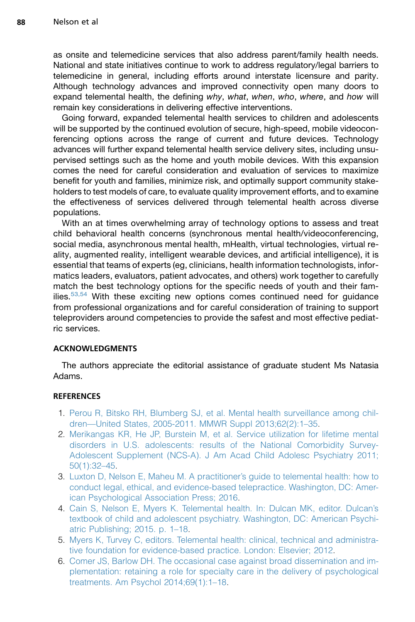<span id="page-11-0"></span>as onsite and telemedicine services that also address parent/family health needs. National and state initiatives continue to work to address regulatory/legal barriers to telemedicine in general, including efforts around interstate licensure and parity. Although technology advances and improved connectivity open many doors to expand telemental health, the defining *why*, *what*, *when*, *who*, *where*, and *how* will remain key considerations in delivering effective interventions.

Going forward, expanded telemental health services to children and adolescents will be supported by the continued evolution of secure, high-speed, mobile videoconferencing options across the range of current and future devices. Technology advances will further expand telemental health service delivery sites, including unsupervised settings such as the home and youth mobile devices. With this expansion comes the need for careful consideration and evaluation of services to maximize benefit for youth and families, minimize risk, and optimally support community stakeholders to test models of care, to evaluate quality improvement efforts, and to examine the effectiveness of services delivered through telemental health across diverse populations.

With an at times overwhelming array of technology options to assess and treat child behavioral health concerns (synchronous mental health/videoconferencing, social media, asynchronous mental health, mHealth, virtual technologies, virtual reality, augmented reality, intelligent wearable devices, and artificial intelligence), it is essential that teams of experts (eg, clinicians, health information technologists, informatics leaders, evaluators, patient advocates, and others) work together to carefully match the best technology options for the specific needs of youth and their fam-ilies.<sup>[53,54](#page-14-0)</sup> With these exciting new options comes continued need for guidance from professional organizations and for careful consideration of training to support teleproviders around competencies to provide the safest and most effective pediatric services.

#### ACKNOWLEDGMENTS

The authors appreciate the editorial assistance of graduate student Ms Natasia Adams.

## **REFERENCES**

- 1. [Perou R, Bitsko RH, Blumberg SJ, et al. Mental health surveillance among chil](http://refhub.elsevier.com/S1056-4993(16)30079-7/sref1)[dren—United States, 2005-2011. MMWR Suppl 2013;62\(2\):1–35.](http://refhub.elsevier.com/S1056-4993(16)30079-7/sref1)
- 2. [Merikangas KR, He JP, Burstein M, et al. Service utilization for lifetime mental](http://refhub.elsevier.com/S1056-4993(16)30079-7/sref2) [disorders in U.S. adolescents: results of the National Comorbidity Survey-](http://refhub.elsevier.com/S1056-4993(16)30079-7/sref2)[Adolescent Supplement \(NCS-A\). J Am Acad Child Adolesc Psychiatry 2011;](http://refhub.elsevier.com/S1056-4993(16)30079-7/sref2) [50\(1\):32–45.](http://refhub.elsevier.com/S1056-4993(16)30079-7/sref2)
- 3. [Luxton D, Nelson E, Maheu M. A practitioner's guide to telemental health: how to](http://refhub.elsevier.com/S1056-4993(16)30079-7/sref3) [conduct legal, ethical, and evidence-based telepractice. Washington, DC: Amer](http://refhub.elsevier.com/S1056-4993(16)30079-7/sref3)[ican Psychological Association Press; 2016](http://refhub.elsevier.com/S1056-4993(16)30079-7/sref3).
- 4. [Cain S, Nelson E, Myers K. Telemental health. In: Dulcan MK, editor. Dulcan's](http://refhub.elsevier.com/S1056-4993(16)30079-7/sref4) [textbook of child and adolescent psychiatry. Washington, DC: American Psychi](http://refhub.elsevier.com/S1056-4993(16)30079-7/sref4)[atric Publishing; 2015. p. 1–18.](http://refhub.elsevier.com/S1056-4993(16)30079-7/sref4)
- 5. [Myers K, Turvey C, editors. Telemental health: clinical, technical and administra](http://refhub.elsevier.com/S1056-4993(16)30079-7/sref5)[tive foundation for evidence-based practice. London: Elsevier; 2012.](http://refhub.elsevier.com/S1056-4993(16)30079-7/sref5)
- 6. [Comer JS, Barlow DH. The occasional case against broad dissemination and im](http://refhub.elsevier.com/S1056-4993(16)30079-7/sref6)[plementation: retaining a role for specialty care in the delivery of psychological](http://refhub.elsevier.com/S1056-4993(16)30079-7/sref6) [treatments. Am Psychol 2014;69\(1\):1–18.](http://refhub.elsevier.com/S1056-4993(16)30079-7/sref6)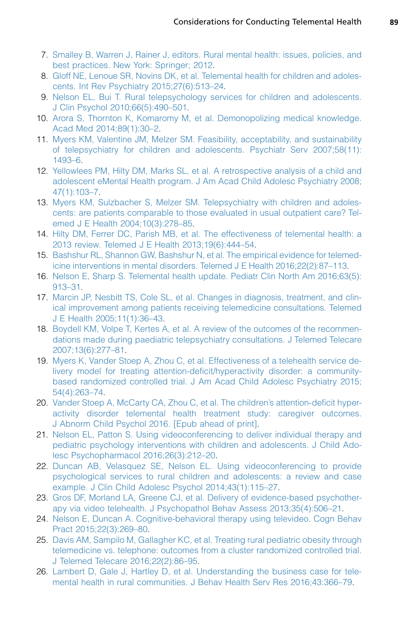- <span id="page-12-0"></span>7. [Smalley B, Warren J, Rainer J, editors. Rural mental health: issues, policies, and](http://refhub.elsevier.com/S1056-4993(16)30079-7/sref7) [best practices. New York: Springer; 2012](http://refhub.elsevier.com/S1056-4993(16)30079-7/sref7).
- 8. [Gloff NE, Lenoue SR, Novins DK, et al. Telemental health for children and adoles](http://refhub.elsevier.com/S1056-4993(16)30079-7/sref8)[cents. Int Rev Psychiatry 2015;27\(6\):513–24.](http://refhub.elsevier.com/S1056-4993(16)30079-7/sref8)
- 9. [Nelson EL, Bui T. Rural telepsychology services for children and adolescents.](http://refhub.elsevier.com/S1056-4993(16)30079-7/sref9) [J Clin Psychol 2010;66\(5\):490–501.](http://refhub.elsevier.com/S1056-4993(16)30079-7/sref9)
- 10. [Arora S, Thornton K, Komaromy M, et al. Demonopolizing medical knowledge.](http://refhub.elsevier.com/S1056-4993(16)30079-7/sref10) [Acad Med 2014;89\(1\):30–2](http://refhub.elsevier.com/S1056-4993(16)30079-7/sref10).
- 11. [Myers KM, Valentine JM, Melzer SM. Feasibility, acceptability, and sustainability](http://refhub.elsevier.com/S1056-4993(16)30079-7/sref11) [of telepsychiatry for children and adolescents. Psychiatr Serv 2007;58\(11\):](http://refhub.elsevier.com/S1056-4993(16)30079-7/sref11) [1493–6.](http://refhub.elsevier.com/S1056-4993(16)30079-7/sref11)
- 12. [Yellowlees PM, Hilty DM, Marks SL, et al. A retrospective analysis of a child and](http://refhub.elsevier.com/S1056-4993(16)30079-7/sref12) [adolescent eMental Health program. J Am Acad Child Adolesc Psychiatry 2008;](http://refhub.elsevier.com/S1056-4993(16)30079-7/sref12) [47\(1\):103–7](http://refhub.elsevier.com/S1056-4993(16)30079-7/sref12).
- 13. [Myers KM, Sulzbacher S, Melzer SM. Telepsychiatry with children and adoles](http://refhub.elsevier.com/S1056-4993(16)30079-7/sref13)[cents: are patients comparable to those evaluated in usual outpatient care? Tel](http://refhub.elsevier.com/S1056-4993(16)30079-7/sref13)[emed J E Health 2004;10\(3\):278–85](http://refhub.elsevier.com/S1056-4993(16)30079-7/sref13).
- 14. [Hilty DM, Ferrer DC, Parish MB, et al. The effectiveness of telemental health: a](http://refhub.elsevier.com/S1056-4993(16)30079-7/sref14) [2013 review. Telemed J E Health 2013;19\(6\):444–54.](http://refhub.elsevier.com/S1056-4993(16)30079-7/sref14)
- 15. [Bashshur RL, Shannon GW, Bashshur N, et al. The empirical evidence for telemed](http://refhub.elsevier.com/S1056-4993(16)30079-7/sref15)[icine interventions in mental disorders. Telemed J E Health 2016;22\(2\):87–113.](http://refhub.elsevier.com/S1056-4993(16)30079-7/sref15)
- 16. [Nelson E, Sharp S. Telemental health update. Pediatr Clin North Am 2016;63\(5\):](http://refhub.elsevier.com/S1056-4993(16)30079-7/sref16) [913–31.](http://refhub.elsevier.com/S1056-4993(16)30079-7/sref16)
- 17. [Marcin JP, Nesbitt TS, Cole SL, et al. Changes in diagnosis, treatment, and clin](http://refhub.elsevier.com/S1056-4993(16)30079-7/sref17)[ical improvement among patients receiving telemedicine consultations. Telemed](http://refhub.elsevier.com/S1056-4993(16)30079-7/sref17) [J E Health 2005;11\(1\):36–43](http://refhub.elsevier.com/S1056-4993(16)30079-7/sref17).
- 18. [Boydell KM, Volpe T, Kertes A, et al. A review of the outcomes of the recommen](http://refhub.elsevier.com/S1056-4993(16)30079-7/sref18)[dations made during paediatric telepsychiatry consultations. J Telemed Telecare](http://refhub.elsevier.com/S1056-4993(16)30079-7/sref18) [2007;13\(6\):277–81.](http://refhub.elsevier.com/S1056-4993(16)30079-7/sref18)
- 19. [Myers K, Vander Stoep A, Zhou C, et al. Effectiveness of a telehealth service de](http://refhub.elsevier.com/S1056-4993(16)30079-7/sref19)[livery model for treating attention-deficit/hyperactivity disorder: a community](http://refhub.elsevier.com/S1056-4993(16)30079-7/sref19)[based randomized controlled trial. J Am Acad Child Adolesc Psychiatry 2015;](http://refhub.elsevier.com/S1056-4993(16)30079-7/sref19) [54\(4\):263–74](http://refhub.elsevier.com/S1056-4993(16)30079-7/sref19).
- 20. [Vander Stoep A, McCarty CA, Zhou C, et al. The children's attention-deficit hyper](http://refhub.elsevier.com/S1056-4993(16)30079-7/sref20)[activity disorder telemental health treatment study: caregiver outcomes.](http://refhub.elsevier.com/S1056-4993(16)30079-7/sref20) [J Abnorm Child Psychol 2016. \[Epub ahead of print\].](http://refhub.elsevier.com/S1056-4993(16)30079-7/sref20)
- 21. [Nelson EL, Patton S. Using videoconferencing to deliver individual therapy and](http://refhub.elsevier.com/S1056-4993(16)30079-7/sref21) [pediatric psychology interventions with children and adolescents. J Child Ado](http://refhub.elsevier.com/S1056-4993(16)30079-7/sref21)[lesc Psychopharmacol 2016;26\(3\):212–20](http://refhub.elsevier.com/S1056-4993(16)30079-7/sref21).
- 22. [Duncan AB, Velasquez SE, Nelson EL. Using videoconferencing to provide](http://refhub.elsevier.com/S1056-4993(16)30079-7/sref22) [psychological services to rural children and adolescents: a review and case](http://refhub.elsevier.com/S1056-4993(16)30079-7/sref22) [example. J Clin Child Adolesc Psychol 2014;43\(1\):115–27](http://refhub.elsevier.com/S1056-4993(16)30079-7/sref22).
- 23. [Gros DF, Morland LA, Greene CJ, et al. Delivery of evidence-based psychother](http://refhub.elsevier.com/S1056-4993(16)30079-7/sref23)[apy via video telehealth. J Psychopathol Behav Assess 2013;35\(4\):506–21.](http://refhub.elsevier.com/S1056-4993(16)30079-7/sref23)
- 24. [Nelson E, Duncan A. Cognitive-behavioral therapy using televideo. Cogn Behav](http://refhub.elsevier.com/S1056-4993(16)30079-7/sref24) [Pract 2015;22\(3\):269–80.](http://refhub.elsevier.com/S1056-4993(16)30079-7/sref24)
- 25. [Davis AM, Sampilo M, Gallagher KC, et al. Treating rural pediatric obesity through](http://refhub.elsevier.com/S1056-4993(16)30079-7/sref25) [telemedicine vs. telephone: outcomes from a cluster randomized controlled trial.](http://refhub.elsevier.com/S1056-4993(16)30079-7/sref25) [J Telemed Telecare 2016;22\(2\):86–95.](http://refhub.elsevier.com/S1056-4993(16)30079-7/sref25)
- 26. [Lambert D, Gale J, Hartley D, et al. Understanding the business case for tele](http://refhub.elsevier.com/S1056-4993(16)30079-7/sref26)[mental health in rural communities. J Behav Health Serv Res 2016;43:366–79](http://refhub.elsevier.com/S1056-4993(16)30079-7/sref26).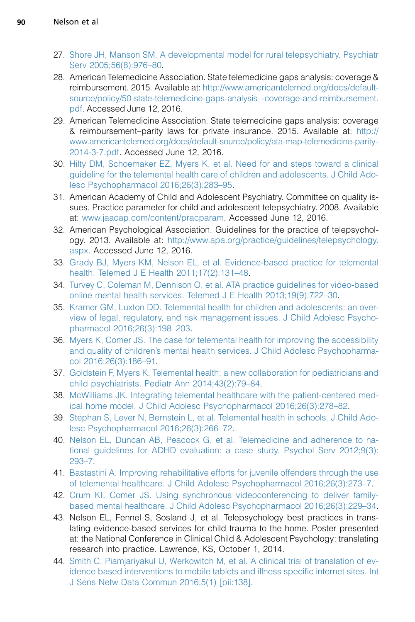- <span id="page-13-0"></span>27. [Shore JH, Manson SM. A developmental model for rural telepsychiatry. Psychiatr](http://refhub.elsevier.com/S1056-4993(16)30079-7/sref27) [Serv 2005;56\(8\):976–80](http://refhub.elsevier.com/S1056-4993(16)30079-7/sref27).
- 28. American Telemedicine Association. State telemedicine gaps analysis: coverage & reimbursement. 2015. Available at: [http://www.americantelemed.org/docs/default](http://www.americantelemed.org/docs/default-source/policy/50-state-telemedicine-gaps-analysis%13-coverage-and-reimbursement.pdf)[source/policy/50-state-telemedicine-gaps-analysis–-coverage-and-reimbursement.](http://www.americantelemed.org/docs/default-source/policy/50-state-telemedicine-gaps-analysis%13-coverage-and-reimbursement.pdf) [pdf.](http://www.americantelemed.org/docs/default-source/policy/50-state-telemedicine-gaps-analysis%13-coverage-and-reimbursement.pdf) Accessed June 12, 2016.
- 29. American Telemedicine Association. State telemedicine gaps analysis: coverage & reimbursement–parity laws for private insurance. 2015. Available at: [http://](http://www.americantelemed.org/docs/default-source/policy/ata-map-telemedicine-parity-2014-3-7.pdf) [www.americantelemed.org/docs/default-source/policy/ata-map-telemedicine-parity-](http://www.americantelemed.org/docs/default-source/policy/ata-map-telemedicine-parity-2014-3-7.pdf)[2014-3-7.pdf](http://www.americantelemed.org/docs/default-source/policy/ata-map-telemedicine-parity-2014-3-7.pdf). Accessed June 12, 2016.
- 30. [Hilty DM, Schoemaker EZ, Myers K, et al. Need for and steps toward a clinical](http://refhub.elsevier.com/S1056-4993(16)30079-7/sref30) [guideline for the telemental health care of children and adolescents. J Child Ado](http://refhub.elsevier.com/S1056-4993(16)30079-7/sref30)[lesc Psychopharmacol 2016;26\(3\):283–95.](http://refhub.elsevier.com/S1056-4993(16)30079-7/sref30)
- 31. American Academy of Child and Adolescent Psychiatry. Committee on quality issues. Practice parameter for child and adolescent telepsychiatry. 2008. Available at: [www.jaacap.com/content/pracparam.](http://www.jaacap.com/content/pracparam) Accessed June 12, 2016.
- 32. American Psychological Association. Guidelines for the practice of telepsychology. 2013. Available at: [http://www.apa.org/practice/guidelines/telepsychology.](http://www.apa.org/practice/guidelines/telepsychology.aspx) [aspx.](http://www.apa.org/practice/guidelines/telepsychology.aspx) Accessed June 12, 2016.
- 33. [Grady BJ, Myers KM, Nelson EL, et al. Evidence-based practice for telemental](http://refhub.elsevier.com/S1056-4993(16)30079-7/sref33) [health. Telemed J E Health 2011;17\(2\):131–48.](http://refhub.elsevier.com/S1056-4993(16)30079-7/sref33)
- 34. [Turvey C, Coleman M, Dennison O, et al. ATA practice guidelines for video-based](http://refhub.elsevier.com/S1056-4993(16)30079-7/sref34) [online mental health services. Telemed J E Health 2013;19\(9\):722–30](http://refhub.elsevier.com/S1056-4993(16)30079-7/sref34).
- 35. [Kramer GM, Luxton DD. Telemental health for children and adolescents: an over](http://refhub.elsevier.com/S1056-4993(16)30079-7/sref35)[view of legal, regulatory, and risk management issues. J Child Adolesc Psycho](http://refhub.elsevier.com/S1056-4993(16)30079-7/sref35)[pharmacol 2016;26\(3\):198–203.](http://refhub.elsevier.com/S1056-4993(16)30079-7/sref35)
- 36. [Myers K, Comer JS. The case for telemental health for improving the accessibility](http://refhub.elsevier.com/S1056-4993(16)30079-7/sref36) [and quality of children's mental health services. J Child Adolesc Psychopharma](http://refhub.elsevier.com/S1056-4993(16)30079-7/sref36)[col 2016;26\(3\):186–91](http://refhub.elsevier.com/S1056-4993(16)30079-7/sref36).
- 37. [Goldstein F, Myers K. Telemental health: a new collaboration for pediatricians and](http://refhub.elsevier.com/S1056-4993(16)30079-7/sref37) [child psychiatrists. Pediatr Ann 2014;43\(2\):79–84.](http://refhub.elsevier.com/S1056-4993(16)30079-7/sref37)
- 38. [McWilliams JK. Integrating telemental healthcare with the patient-centered med](http://refhub.elsevier.com/S1056-4993(16)30079-7/sref38)[ical home model. J Child Adolesc Psychopharmacol 2016;26\(3\):278–82.](http://refhub.elsevier.com/S1056-4993(16)30079-7/sref38)
- 39. [Stephan S, Lever N, Bernstein L, et al. Telemental health in schools. J Child Ado](http://refhub.elsevier.com/S1056-4993(16)30079-7/sref39)[lesc Psychopharmacol 2016;26\(3\):266–72.](http://refhub.elsevier.com/S1056-4993(16)30079-7/sref39)
- 40. [Nelson EL, Duncan AB, Peacock G, et al. Telemedicine and adherence to na](http://refhub.elsevier.com/S1056-4993(16)30079-7/sref40)[tional guidelines for ADHD evaluation: a case study. Psychol Serv 2012;9\(3\):](http://refhub.elsevier.com/S1056-4993(16)30079-7/sref40) [293–7.](http://refhub.elsevier.com/S1056-4993(16)30079-7/sref40)
- 41. [Bastastini A. Improving rehabilitative efforts for juvenile offenders through the use](http://refhub.elsevier.com/S1056-4993(16)30079-7/sref41) [of telemental healthcare. J Child Adolesc Psychopharmacol 2016;26\(3\):273–7.](http://refhub.elsevier.com/S1056-4993(16)30079-7/sref41)
- 42. [Crum KI, Comer JS. Using synchronous videoconferencing to deliver family](http://refhub.elsevier.com/S1056-4993(16)30079-7/sref42)[based mental healthcare. J Child Adolesc Psychopharmacol 2016;26\(3\):229–34.](http://refhub.elsevier.com/S1056-4993(16)30079-7/sref42)
- 43. Nelson EL, Fennel S, Sosland J, et al. Telepsychology best practices in translating evidence-based services for child trauma to the home. Poster presented at: the National Conference in Clinical Child & Adolescent Psychology: translating research into practice. Lawrence, KS, October 1, 2014.
- 44. [Smith C, Piamjariyakul U, Werkowitch M, et al. A clinical trial of translation of ev](http://refhub.elsevier.com/S1056-4993(16)30079-7/sref44)[idence based interventions to mobile tablets and illness specific internet sites. Int](http://refhub.elsevier.com/S1056-4993(16)30079-7/sref44) [J Sens Netw Data Commun 2016;5\(1\) \[pii:138\]](http://refhub.elsevier.com/S1056-4993(16)30079-7/sref44).